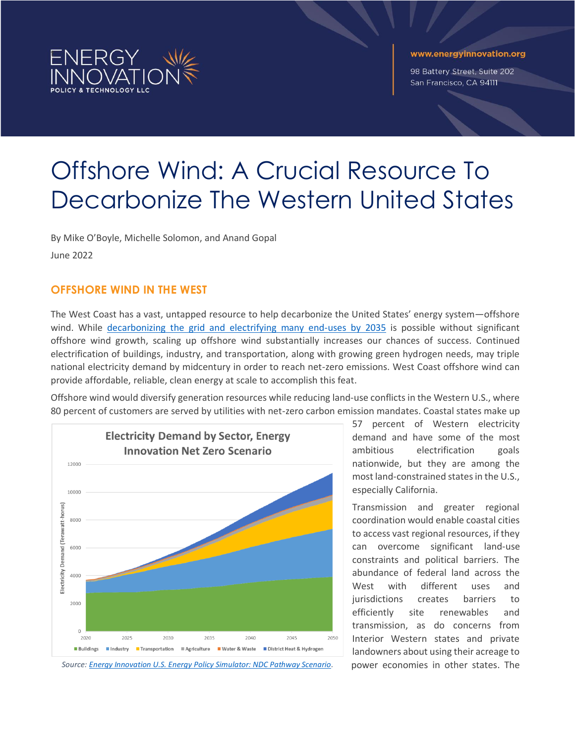

#### www.energyinnovation.org

98 Battery Street, Suite 202 San Francisco, CA 94111

# Offshore Wind: A Crucial Resource To Decarbonize The Western United States

By Mike O'Boyle, Michelle Solomon, and Anand Gopal June 2022

# **OFFSHORE WIND IN THE WEST**

The West Coast has a vast, untapped resource to help decarbonize the United States' energy system—offshore wind. While decarbonizing [the grid and electrifying](https://www.2035report.com/) many end-uses by 2035 is possible without significant offshore wind growth, scaling up offshore wind substantially increases our chances of success. Continued electrification of buildings, industry, and transportation, along with growing green hydrogen needs, may triple national electricity demand by midcentury in order to reach net-zero emissions. West Coast offshore wind can provide affordable, reliable, clean energy at scale to accomplish this feat.

Offshore wind would diversify generation resources while reducing land-use conflicts in the Western U.S., where 80 percent of customers are served by utilities with net-zero carbon emission mandates. Coastal states make up



Source[: Energy Innovation U.S. Energy Policy Simulator: NDC Pathway Scenario](https://us.energypolicy.solutions/scenarios/home). power economies in other states. The

57 percent of Western electricity demand and have some of the most ambitious electrification goals nationwide, but they are among the most land-constrained states in the U.S., especially California.

Transmission and greater regional coordination would enable coastal cities to access vast regional resources, if they can overcome significant land-use constraints and political barriers. The abundance of federal land across the West with different uses and jurisdictions creates barriers to efficiently site renewables and transmission, as do concerns from Interior Western states and private landowners about using their acreage to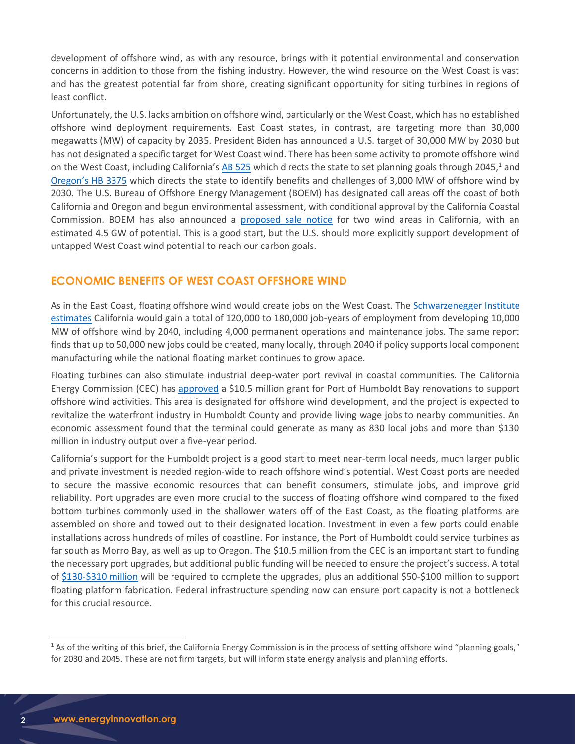development of offshore wind, as with any resource, brings with it potential environmental and conservation concerns in addition to those from the fishing industry. However, the wind resource on the West Coast is vast and has the greatest potential far from shore, creating significant opportunity for siting turbines in regions of least conflict.

Unfortunately, the U.S. lacks ambition on offshore wind, particularly on the West Coast, which has no established offshore wind deployment requirements. East Coast states, in contrast, are targeting more than 30,000 megawatts (MW) of capacity by 2035. President Biden has announced a U.S. target of 30,000 MW by 2030 but has not designated a specific target for West Coast wind. There has been some activity to promote offshore wind on the West Coast, including California's [AB 525](https://leginfo.legislature.ca.gov/faces/billNavClient.xhtml?bill_id=202120220AB525) which directs the state to set planning goals through 2045,<sup>1</sup> and [Oregon's HB 3375](https://www.oregon.gov/energy/energy-oregon/Pages/fosw.aspx) which directs the state to identify benefits and challenges of 3,000 MW of offshore wind by 2030. The U.S. Bureau of Offshore Energy Management (BOEM) has designated call areas off the coast of both California and Oregon and begun environmental assessment, with conditional approval by the California Coastal Commission. BOEM has also announced a [proposed sale notice](https://www.doi.gov/pressreleases/biden-harris-administration-proposes-first-ever-california-offshore-wind-lease-sale) for two wind areas in California, with an estimated 4.5 GW of potential. This is a good start, but the U.S. should more explicitly support development of untapped West Coast wind potential to reach our carbon goals.

### **ECONOMIC BENEFITS OF WEST COAST OFFSHORE WIND**

As in the East Coast, floating offshore wind would create jobs on the West Coast. The [Schwarzenegger Institute](http://schwarzeneggerinstitute.com/images/files/OSW_Report.pdf)  [estimates](http://schwarzeneggerinstitute.com/images/files/OSW_Report.pdf) California would gain a total of 120,000 to 180,000 job-years of employment from developing 10,000 MW of offshore wind by 2040, including 4,000 permanent operations and maintenance jobs. The same report finds that up to 50,000 new jobs could be created, many locally, through 2040 if policy supports local component manufacturing while the national floating market continues to grow apace.

Floating turbines can also stimulate industrial deep-water port revival in coastal communities. The California Energy Commission (CEC) has [approved](https://www.energy.ca.gov/news/2022-03/state-approves-105-million-prepare-port-humboldt-bay-offshore-wind) a \$10.5 million grant for Port of Humboldt Bay renovations to support offshore wind activities. This area is designated for offshore wind development, and the project is expected to revitalize the waterfront industry in Humboldt County and provide living wage jobs to nearby communities. An economic assessment found that the terminal could generate as many as 830 local jobs and more than \$130 million in industry output over a five-year period.

California's support for the Humboldt project is a good start to meet near-term local needs, much larger public and private investment is needed region-wide to reach offshore wind's potential. West Coast ports are needed to secure the massive economic resources that can benefit consumers, stimulate jobs, and improve grid reliability. Port upgrades are even more crucial to the success of floating offshore wind compared to the fixed bottom turbines commonly used in the shallower waters off of the East Coast, as the floating platforms are assembled on shore and towed out to their designated location. Investment in even a few ports could enable installations across hundreds of miles of coastline. For instance, the Port of Humboldt could service turbines as far south as Morro Bay, as well as up to Oregon. The \$10.5 million from the CEC is an important start to funding the necessary port upgrades, but additional public funding will be needed to ensure the project's success. A total of [\\$130-\\$310 million](http://schatzcenter.org/pubs/2020-OSW-R19.pdf.) will be required to complete the upgrades, plus an additional \$50-\$100 million to support floating platform fabrication. Federal infrastructure spending now can ensure port capacity is not a bottleneck for this crucial resource.

<sup>&</sup>lt;sup>1</sup> As of the writing of this brief, the California Energy Commission is in the process of setting offshore wind "planning goals," for 2030 and 2045. These are not firm targets, but will inform state energy analysis and planning efforts.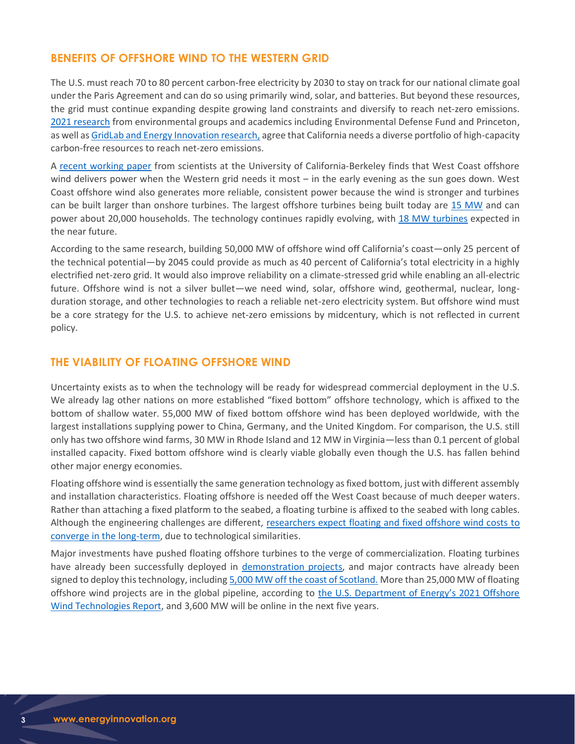## **BENEFITS OF OFFSHORE WIND TO THE WESTERN GRID**

The U.S. must reach 70 to 80 percent carbon-free electricity by 2030 to stay on track for our national climate goal under the Paris Agreement and can do so using primarily wind, solar, and batteries. But beyond these resources, the grid must continue expanding despite growing land constraints and diversify to reach net-zero emissions. 2021 [research](https://www.edf.org/sites/default/files/documents/SB100%20clean%20firm%20power%20report%20plus%20SI.pdf) from environmental groups and academics including Environmental Defense Fund and Princeton, as well a[s GridLab and Energy Innovation research,](https://energyinnovation.org/publication/85-percent-clean-electricity-by-2030-in-california/) agree that California needs a diverse portfolio of high-capacity carbon-free resources to reach net-zero emissions.

A [recent working paper](https://gspp.berkeley.edu/assets/uploads/page/CA_OSW_Assessment_Working_Paper_CEPP.pdf) from scientists at the University of California-Berkeley finds that West Coast offshore wind delivers power when the Western grid needs it most – in the early evening as the sun goes down. West Coast offshore wind also generates more reliable, consistent power because the wind is stronger and turbines can be built larger than onshore turbines. The largest offshore turbines being built today are [15 MW](https://www.offshorewind.biz/2021/10/15/vestas-15-mw-prototype-offshore-wind-turbine-to-spin-in-denmark/) and can power about 20,000 households. The technology continues rapidly evolving, with 18 MW [turbines](https://www.offshorewind.biz/2021/11/18/shell-returns-for-more-floating-wind-offshore-ireland-18-mw-turbines-in-play/) expected in the near future.

According to the same research, building 50,000 MW of offshore wind off California's coast—only 25 percent of the technical potential—by 2045 could provide as much as 40 percent of California's total electricity in a highly electrified net-zero grid. It would also improve reliability on a climate-stressed grid while enabling an all-electric future. Offshore wind is not a silver bullet—we need wind, solar, offshore wind, geothermal, nuclear, longduration storage, and other technologies to reach a reliable net-zero electricity system. But offshore wind must be a core strategy for the U.S. to achieve net-zero emissions by midcentury, which is not reflected in current policy.

### **THE VIABILITY OF FLOATING OFFSHORE WIND**

Uncertainty exists as to when the technology will be ready for widespread commercial deployment in the U.S. We already lag other nations on more established "fixed bottom" offshore technology, which is affixed to the bottom of shallow water. 55,000 MW of fixed bottom offshore wind has been deployed worldwide, with the largest installations supplying power to China, Germany, and the United Kingdom. For comparison, the U.S. still only has two offshore wind farms, 30 MW in Rhode Island and 12 MW in Virginia—less than 0.1 percent of global installed capacity. Fixed bottom offshore wind is clearly viable globally even though the U.S. has fallen behind other major energy economies.

Floating offshore wind is essentially the same generation technology as fixed bottom, just with different assembly and installation characteristics. Floating offshore is needed off the West Coast because of much deeper waters. Rather than attaching a fixed platform to the seabed, a floating turbine is affixed to the seabed with long cables. Although the engineering challenges are different, researchers expect floating and fixed offshore wind costs to [converge in the long-term,](https://www.nature.com/articles/s41560-021-00810-z) due to technological similarities.

Major investments have pushed floating offshore turbines to the verge of commercialization. Floating turbines have already been successfully deployed in [demonstration projects,](https://www.upstreamonline.com/energy-transition/shell-backed-floating-wind-demonstration-project-flows-first-power-to-norway/2-1-1110593) and major contracts have already been signed to deploy this technology, includin[g 5,000 MW off the coast of Scotland.](https://www.offshorewind.biz/2022/04/13/shell-scottishpower-begin-next-chapter-of-their-5-gw-floating-wind-story-in-scotland/) More than 25,000 MW of floating offshore wind projects are in the global pipeline, according to the [U.S. Department of Energy's](https://www.energy.gov/sites/default/files/2021-08/Offshore%20Wind%20Market%20Report%202021%20Edition_Final.pdf) 2021 Offshore [Wind Technologies Report,](https://www.energy.gov/sites/default/files/2021-08/Offshore%20Wind%20Market%20Report%202021%20Edition_Final.pdf) and 3,600 MW will be online in the next five years.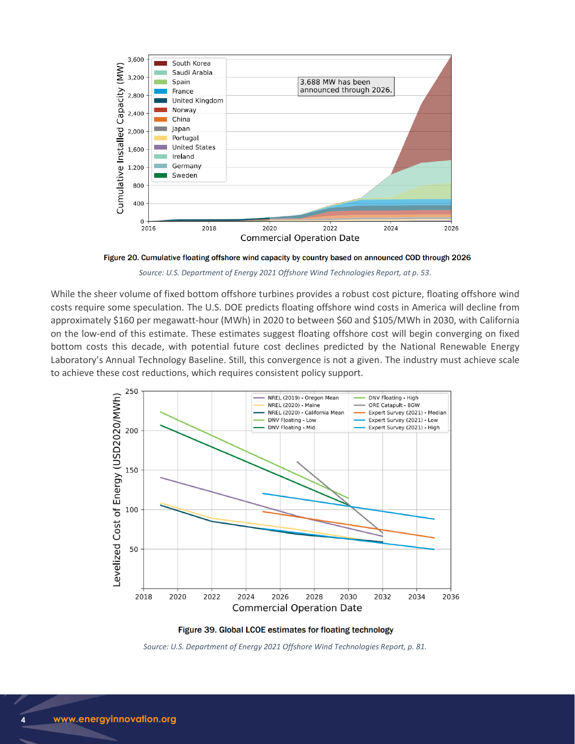

Figure 20. Cumulative floating offshore wind capacity by country based on announced COD through 2026

*Source: U.S. Department of Energy 2021 Offshore Wind Technologies Report, at p. 53.*

While the sheer volume of fixed bottom offshore turbines provides a robust cost picture, floating offshore wind costs require some speculation. The U.S. DOE predicts floating offshore wind costs in America will decline from approximately \$160 per megawatt-hour (MWh) in 2020 to between \$60 and \$105/MWh in 2030, with California on the low-end of this estimate. These estimates suggest floating offshore cost will begin converging on fixed bottom costs this decade, with potential future cost declines predicted by the National Renewable Energy Laboratory's Annual Technology Baseline. Still, this convergence is not a given. The industry must achieve scale to achieve these cost reductions, which requires consistent policy support.



Figure 39. Global LCOE estimates for floating technology

*Source: U.S. Department of Energy 2021 Offshore Wind Technologies Report, p. 81.*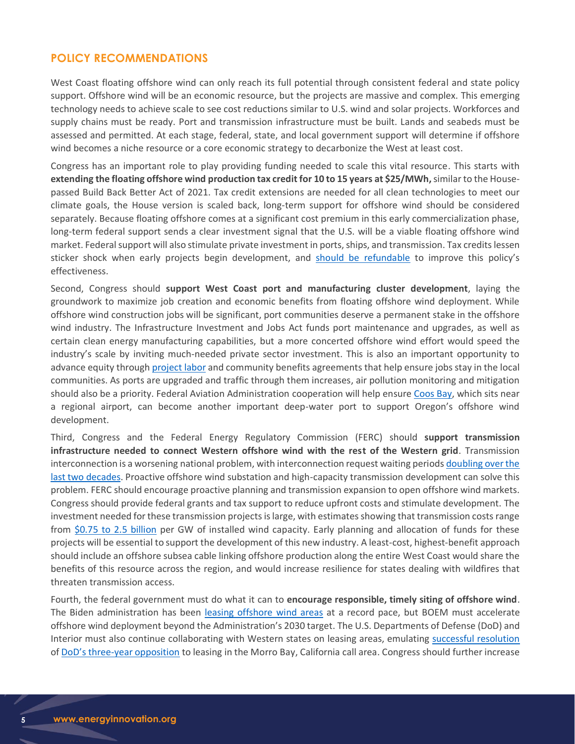### **POLICY RECOMMENDATIONS**

West Coast floating offshore wind can only reach its full potential through consistent federal and state policy support. Offshore wind will be an economic resource, but the projects are massive and complex. This emerging technology needs to achieve scale to see cost reductions similar to U.S. wind and solar projects. Workforces and supply chains must be ready. Port and transmission infrastructure must be built. Lands and seabeds must be assessed and permitted. At each stage, federal, state, and local government support will determine if offshore wind becomes a niche resource or a core economic strategy to decarbonize the West at least cost.

Congress has an important role to play providing funding needed to scale this vital resource. This starts with **extending the floating offshore wind production tax credit for 10 to 15 years at \$25/MWh,**similar to the Housepassed Build Back Better Act of 2021. Tax credit extensions are needed for all clean technologies to meet our climate goals, the House version is scaled back, long-term support for offshore wind should be considered separately. Because floating offshore comes at a significant cost premium in this early commercialization phase, long-term federal support sends a clear investment signal that the U.S. will be a viable floating offshore wind market. Federal support will also stimulate private investment in ports, ships, and transmission. Tax credits lessen sticker shock when early projects begin development, and [should be refundable](https://rmi.org/simple-tax-changes-can-unleash-clean-energy-deployment/) to improve this policy's effectiveness.

Second, Congress should **support West Coast port and manufacturing cluster development**, laying the groundwork to maximize job creation and economic benefits from floating offshore wind deployment. While offshore wind construction jobs will be significant, port communities deserve a permanent stake in the offshore wind industry. The Infrastructure Investment and Jobs Act funds port maintenance and upgrades, as well as certain clean energy manufacturing capabilities, but a more concerted offshore wind effort would speed the industry's scale by inviting much-needed private sector investment. This is also an important opportunity to advance equity through [project labor](https://www.vineyardwind.com/press-releases/2021/7/16/building-trades-union-and-vineyard-wind-sign-historic-project-labor-agreement) and community benefits agreements that help ensure jobs stay in the local communities. As ports are upgraded and traffic through them increases, air pollution monitoring and mitigation should also be a priority. Federal Aviation Administration cooperation will help ensure [Coos Bay,](https://simplybluegroup.com/wp-content/uploads/2022/03/Coos-Bay-Offshore-Port-Infrastructure-Study-Final-Technical-Report.pdf) which sits near a regional airport, can become another important deep-water port to support Oregon's offshore wind development.

Third, Congress and the Federal Energy Regulatory Commission (FERC) should **support transmission infrastructure needed to connect Western offshore wind with the rest of the Western grid**. Transmission interconnection is a worsening national problem, with interconnection request waiting period[s doubling over the](https://emp.lbl.gov/news/record-amounts-zero-carbon-electricity)  [last two decades.](https://emp.lbl.gov/news/record-amounts-zero-carbon-electricity) Proactive offshore wind substation and high-capacity transmission development can solve this problem. FERC should encourage proactive planning and transmission expansion to open offshore wind markets. Congress should provide federal grants and tax support to reduce upfront costs and stimulate development. The investment needed for these transmission projects is large, with estimates showing that transmission costs range from \$0.75 [to 2.5 billion](http://www.caiso.com/InitiativeDocuments/Draft20-YearTransmissionOutlook.pdf) per GW of installed wind capacity. Early planning and allocation of funds for these projects will be essential to support the development of this new industry. A least-cost, highest-benefit approach should include an offshore subsea cable linking offshore production along the entire West Coast would share the benefits of this resource across the region, and would increase resilience for states dealing with wildfires that threaten transmission access.

Fourth, the federal government must do what it can to **encourage responsible, timely siting of offshore wind**. The Biden administration has been [leasing offshore wind areas](https://www.boem.gov/sites/default/files/documents/renewable-energy/state-activities/OSW-Proposed-Leasing-Schedule.pdf) at a record pace, but BOEM must accelerate offshore wind deployment beyond the Administration's 2030 target. The U.S. Departments of Defense (DoD) and Interior must also continue collaborating with Western states on leasing areas, emulating [successful resolution](https://www.doi.gov/pressreleases/biden-harris-administration-advances-offshore-wind-pacific) of DoD's three[-year opposition](https://www.spglobal.com/marketintelligence/en/news-insights/latest-news-headlines/us-military-squeezes-wind-energy-development-off-california-s-central-coast-57492026) to leasing in the Morro Bay, California call area. Congress should further increase